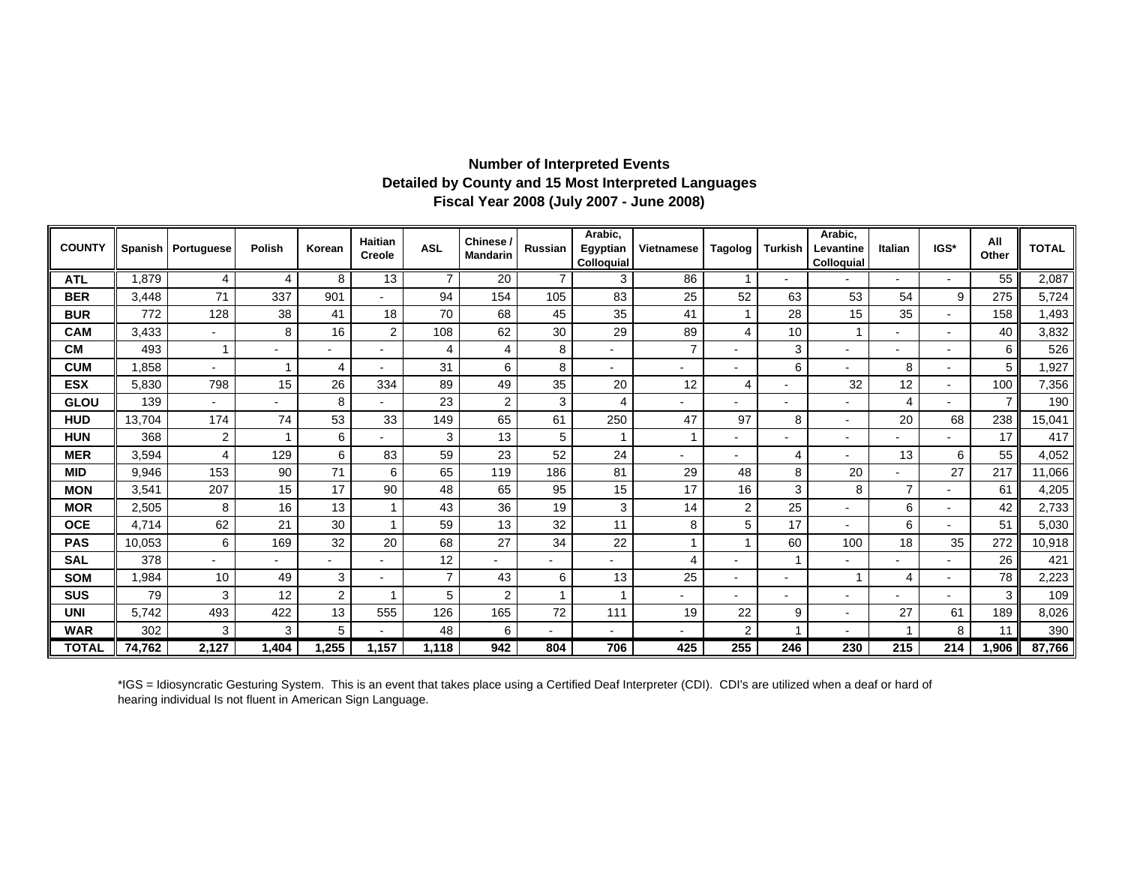## **Fiscal Year 2008 (July 2007 - June 2008) Detailed by County and 15 Most Interpreted Languages Number of Interpreted Events**

| <b>COUNTY</b> |        | Spanish   Portuguese     | Polish | Korean         | Haitian<br>Creole        | <b>ASL</b>     | Chinese /<br><b>Mandarin</b> | <b>Russian</b> | Arabic,<br>Egyptian<br>Colloquial | Vietnamese     | Tagolog                  | Turkish        | Arabic,<br>Levantine<br>Colloquial | Italian        | IGS*                     | All<br>Other | <b>TOTAL</b> |
|---------------|--------|--------------------------|--------|----------------|--------------------------|----------------|------------------------------|----------------|-----------------------------------|----------------|--------------------------|----------------|------------------------------------|----------------|--------------------------|--------------|--------------|
| <b>ATL</b>    | ,879   | 4                        | 4      | 8              | 13                       | $\overline{7}$ | $\overline{20}$              | $\overline{7}$ | 3                                 | 86             |                          |                |                                    |                |                          | 55           | 2,087        |
| <b>BER</b>    | 3,448  | 71                       | 337    | 901            |                          | 94             | 154                          | 105            | 83                                | 25             | 52                       | 63             | 53                                 | 54             | 9                        | 275          | 5,724        |
| <b>BUR</b>    | 772    | 128                      | 38     | 41             | 18                       | 70             | 68                           | 45             | 35                                | 41             |                          | 28             | 15                                 | 35             | ٠                        | 158          | 1,493        |
| <b>CAM</b>    | 3,433  | $\overline{\phantom{0}}$ | 8      | 16             | 2                        | 108            | 62                           | 30             | 29                                | 89             | 4                        | 10             |                                    |                | $\overline{\phantom{0}}$ | 40           | 3,832        |
| <b>CM</b>     | 493    |                          |        |                | $\overline{\phantom{a}}$ | 4              | $\overline{4}$               | 8              | $\overline{\phantom{0}}$          |                | $\blacksquare$           | 3              | $\blacksquare$                     |                | $\blacksquare$           | 6            | 526          |
| <b>CUM</b>    | ,858   |                          |        | 4              | $\blacksquare$           | 31             | 6                            | 8              | $\overline{\phantom{0}}$          |                | $\overline{\phantom{a}}$ | 6              |                                    | 8              | $\overline{\phantom{a}}$ | 5            | 1,927        |
| <b>ESX</b>    | 5,830  | 798                      | 15     | 26             | 334                      | 89             | 49                           | 35             | 20                                | 12             | 4                        | $\blacksquare$ | 32                                 | 12             | $\overline{\phantom{a}}$ | 100          | 7,356        |
| <b>GLOU</b>   | 139    | $\blacksquare$           |        | 8              | $\blacksquare$           | 23             | $\overline{2}$               | 3              | 4                                 |                |                          | $\blacksquare$ |                                    | 4              | $\blacksquare$           |              | 190          |
| <b>HUD</b>    | 13,704 | 174                      | 74     | 53             | 33                       | 149            | 65                           | 61             | 250                               | 47             | 97                       | 8              | $\overline{\phantom{a}}$           | 20             | 68                       | 238          | 15,041       |
| <b>HUN</b>    | 368    | 2                        |        | 6              | $\overline{\phantom{0}}$ | 3              | 13                           | 5              |                                   |                |                          |                | $\overline{\phantom{0}}$           |                |                          | 17           | 417          |
| <b>MER</b>    | 3,594  | 4                        | 129    | 6              | 83                       | 59             | 23                           | 52             | 24                                |                |                          | 4              |                                    | 13             | 6                        | 55           | 4,052        |
| <b>MID</b>    | 9,946  | 153                      | 90     | 71             | 6                        | 65             | 119                          | 186            | 81                                | 29             | 48                       | 8              | 20                                 |                | 27                       | 217          | 11,066       |
| <b>MON</b>    | 3,541  | 207                      | 15     | 17             | 90                       | 48             | 65                           | 95             | 15                                | 17             | 16                       | 3              | 8                                  | $\overline{7}$ | $\blacksquare$           | 61           | 4,205        |
| <b>MOR</b>    | 2,505  | 8                        | 16     | 13             |                          | 43             | 36                           | 19             | 3                                 | 14             | $\overline{2}$           | 25             | $\blacksquare$                     | 6              | $\overline{\phantom{a}}$ | 42           | 2,733        |
| <b>OCE</b>    | 4,714  | 62                       | 21     | 30             |                          | 59             | 13                           | 32             | 11                                | 8              | 5                        | 17             | $\blacksquare$                     | 6              | $\blacksquare$           | 51           | 5,030        |
| <b>PAS</b>    | 10,053 | 6                        | 169    | 32             | 20                       | 68             | 27                           | 34             | 22                                |                |                          | 60             | 100                                | 18             | 35                       | 272          | 10,918       |
| <b>SAL</b>    | 378    |                          |        |                | $\blacksquare$           | 12             |                              |                |                                   | $\overline{4}$ | $\blacksquare$           | $\overline{1}$ | $\blacksquare$                     |                | ٠                        | 26           | 421          |
| <b>SOM</b>    | 1,984  | 10                       | 49     | 3              | $\blacksquare$           | $\overline{7}$ | 43                           | 6              | 13                                | 25             | $\blacksquare$           | $\blacksquare$ |                                    | 4              | $\overline{\phantom{a}}$ | 78           | 2,223        |
| SUS           | 79     | 3                        | 12     | $\overline{c}$ |                          | 5              | $\overline{2}$               |                |                                   |                | $\blacksquare$           | $\blacksquare$ | $\overline{\phantom{a}}$           |                | $\overline{a}$           | 3            | 109          |
| <b>UNI</b>    | 5,742  | 493                      | 422    | 13             | 555                      | 126            | 165                          | 72             | 111                               | 19             | 22                       | 9              | $\overline{\phantom{0}}$           | 27             | 61                       | 189          | 8,026        |
| <b>WAR</b>    | 302    | 3                        | 3      | 5              | $\blacksquare$           | 48             | 6                            |                |                                   |                | 2                        | 1              |                                    | 1              | 8                        | 11           | 390          |
| <b>TOTAL</b>  | 74,762 | 2,127                    | ,404   | 1,255          | 1,157                    | 1.118          | 942                          | 804            | 706                               | 425            | 255                      | 246            | 230                                | 215            | 214                      | 1,906        | 87,766       |

\*IGS = Idiosyncratic Gesturing System. This is an event that takes place using a Certified Deaf Interpreter (CDI). CDI's are utilized when a deaf or hard of hearing individual Is not fluent in American Sign Language.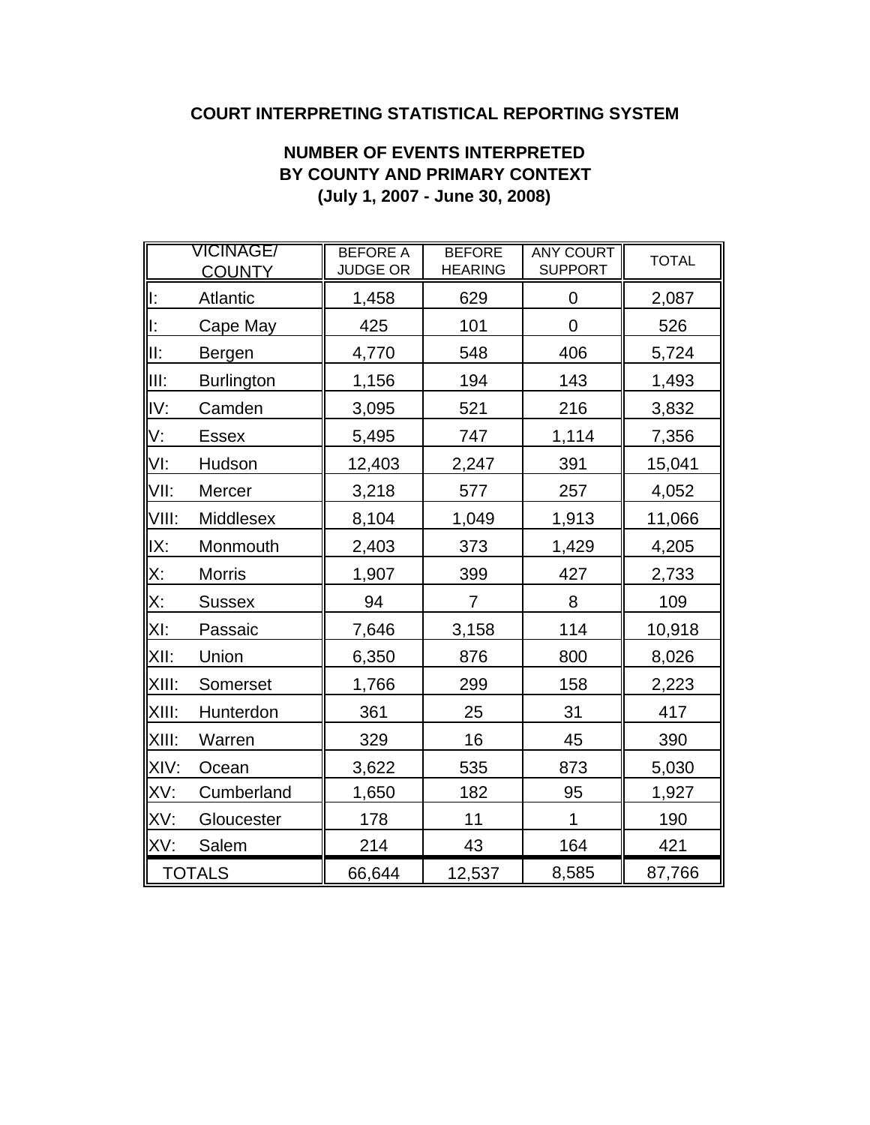## **COURT INTERPRETING STATISTICAL REPORTING SYSTEM**

## **NUMBER OF EVENTS INTERPRETED BY COUNTY AND PRIMARY CONTEXT (July 1, 2007 - June 30, 2008)**

|           | VICINAGE/<br><b>COUNTY</b> | <b>BEFORE A</b><br><b>JUDGE OR</b> | <b>BEFORE</b><br><b>HEARING</b> | <b>ANY COURT</b><br><b>SUPPORT</b> | <b>TOTAL</b> |
|-----------|----------------------------|------------------------------------|---------------------------------|------------------------------------|--------------|
| l:        | Atlantic                   | 1,458                              | 629                             | 0                                  | 2,087        |
| lE.       | Cape May                   | 425                                | 101                             | $\mathbf 0$                        | 526          |
| II:       | Bergen                     | 4,770                              | 548                             | 406                                | 5,724        |
| III:      | <b>Burlington</b>          | 1,156                              | 194                             | 143                                | 1,493        |
| IV:       | Camden                     | 3,095                              | 521                             | 216                                | 3,832        |
| V:        | <b>Essex</b>               | 5,495                              | 747                             | 1,114                              | 7,356        |
| VI:       | Hudson                     | 12,403                             | 2,247                           | 391                                | 15,041       |
| VII:      | Mercer                     | 3,218                              | 577                             | 257                                | 4,052        |
| VIII:     | Middlesex                  | 8,104                              | 1,049                           | 1,913                              | 11,066       |
| IX:       | Monmouth                   | 2,403                              | 373                             | 1,429                              | 4,205        |
| <u>Х:</u> | <b>Morris</b>              | 1,907                              | 399                             | 427                                | 2,733        |
| X:        | <b>Sussex</b>              | 94                                 | 7                               | 8                                  | 109          |
| XI:       | Passaic                    | 7,646                              | 3,158                           | 114                                | 10,918       |
| XII:      | Union                      | 6,350                              | 876                             | 800                                | 8,026        |
| XIII:     | Somerset                   | 1,766                              | 299                             | 158                                | 2,223        |
| XIII:     | Hunterdon                  | 361                                | 25                              | 31                                 | 417          |
| XIII:     | Warren                     | 329                                | 16                              | 45                                 | 390          |
| XIV:      | Ocean                      | 3,622                              | 535                             | 873                                | 5,030        |
| XV:       | Cumberland                 | 1,650                              | 182                             | 95                                 | 1,927        |
| XV:       | Gloucester                 | 178                                | 11                              | 1                                  | 190          |
| XV:       | Salem                      | 214                                | 43                              | 164                                | 421          |
|           | <b>TOTALS</b>              | 66,644                             | 12,537                          | 8,585                              | 87,766       |